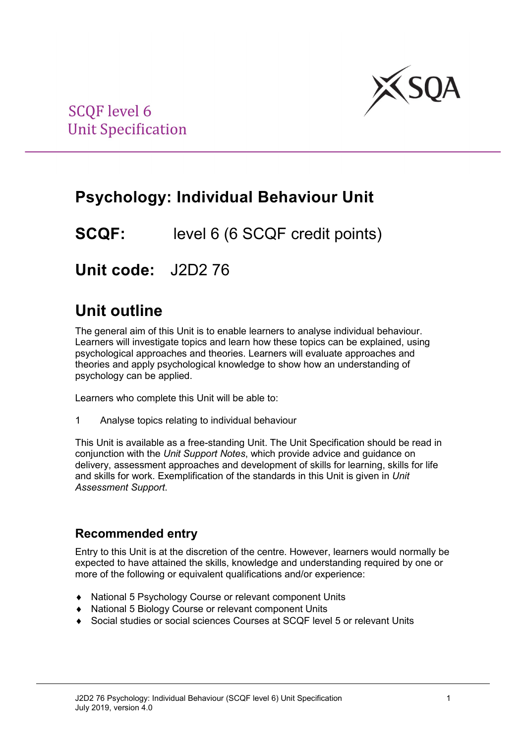

## **Psychology: Individual Behaviour Unit**

**SCQF:** level 6 (6 SCQF credit points)

**Unit code:** J2D2 76

## **Unit outline**

The general aim of this Unit is to enable learners to analyse individual behaviour. Learners will investigate topics and learn how these topics can be explained, using psychological approaches and theories. Learners will evaluate approaches and theories and apply psychological knowledge to show how an understanding of psychology can be applied.

Learners who complete this Unit will be able to:

1 Analyse topics relating to individual behaviour

This Unit is available as a free-standing Unit. The Unit Specification should be read in conjunction with the *Unit Support Notes*, which provide advice and guidance on delivery, assessment approaches and development of skills for learning, skills for life and skills for work. Exemplification of the standards in this Unit is given in *Unit Assessment Support*.

### **Recommended entry**

Entry to this Unit is at the discretion of the centre. However, learners would normally be expected to have attained the skills, knowledge and understanding required by one or more of the following or equivalent qualifications and/or experience:

- ♦ National 5 Psychology Course or relevant component Units
- ♦ National 5 Biology Course or relevant component Units
- Social studies or social sciences Courses at SCQF level 5 or relevant Units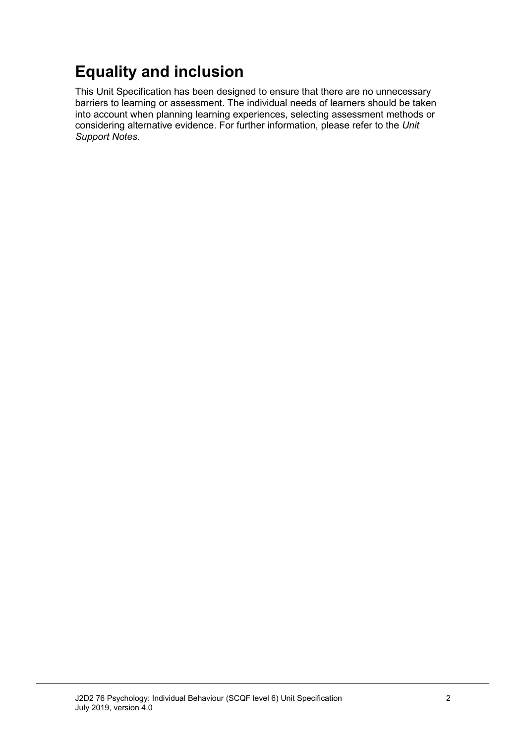# **Equality and inclusion**

This Unit Specification has been designed to ensure that there are no unnecessary barriers to learning or assessment. The individual needs of learners should be taken into account when planning learning experiences, selecting assessment methods or considering alternative evidence. For further information, please refer to the *Unit Support Notes.*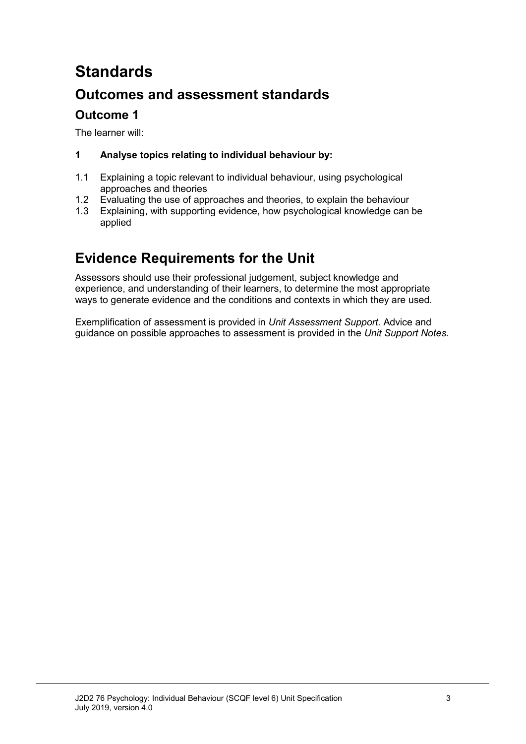# **Standards**

### **Outcomes and assessment standards**

### **Outcome 1**

The learner will:

### **1 Analyse topics relating to individual behaviour by:**

- 1.1 Explaining a topic relevant to individual behaviour, using psychological approaches and theories
- 1.2 Evaluating the use of approaches and theories, to explain the behaviour<br>1.3 Explaining, with supporting evidence, how psychological knowledge can
- Explaining, with supporting evidence, how psychological knowledge can be applied

### **Evidence Requirements for the Unit**

Assessors should use their professional judgement, subject knowledge and experience, and understanding of their learners, to determine the most appropriate ways to generate evidence and the conditions and contexts in which they are used.

Exemplification of assessment is provided in *Unit Assessment Support.* Advice and guidance on possible approaches to assessment is provided in the *Unit Support Notes.*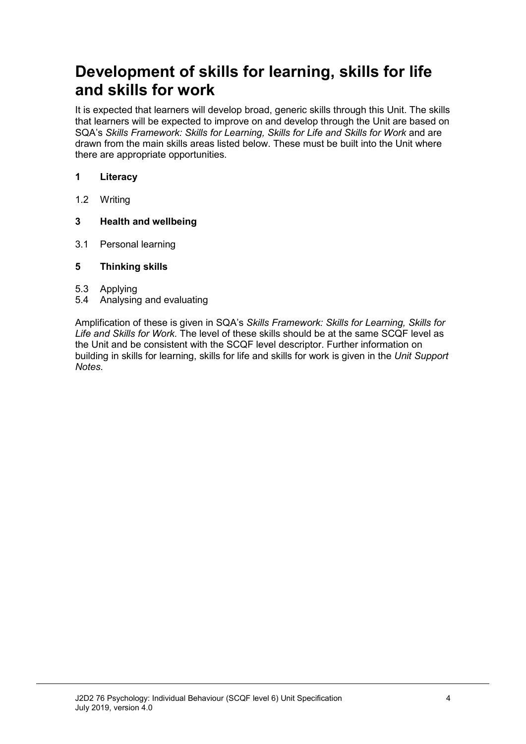## **Development of skills for learning, skills for life and skills for work**

It is expected that learners will develop broad, generic skills through this Unit. The skills that learners will be expected to improve on and develop through the Unit are based on SQA's Skills Framework: Skills for Learning, Skills for Life and Skills for Work and are drawn from the main skills areas listed below. These must be built into the Unit where there are appropriate opportunities.

#### **1 Literacy**

1.2 Writing

#### **3 Health and wellbeing**

3.1 Personal learning

#### **5 Thinking skills**

- 5.3 Applying
- 5.4 Analysing and evaluating

Amplification of these is given in SQA's *Skills Framework: Skills for Learning, Skills for Life and Skills for Work.* The level of these skills should be at the same SCQF level as the Unit and be consistent with the SCQF level descriptor. Further information on building in skills for learning, skills for life and skills for work is given in the *Unit Support Notes.*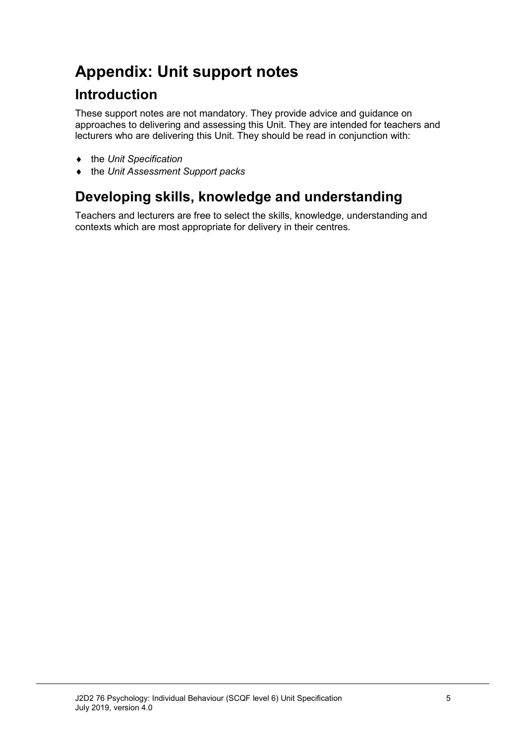# **Appendix: Unit support notes**

### **Introduction**

These support notes are not mandatory. They provide advice and guidance on approaches to delivering and assessing this Unit. They are intended for teachers and lecturers who are delivering this Unit. They should be read in conjunction with:

- ♦ the *Unit Specification*
- ♦ the *Unit Assessment Support packs*

## **Developing skills, knowledge and understanding**

Teachers and lecturers are free to select the skills, knowledge, understanding and contexts which are most appropriate for delivery in their centres.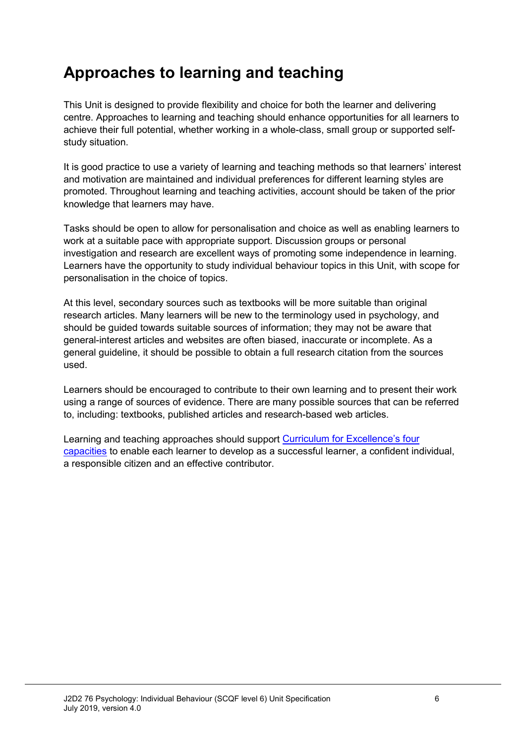## **Approaches to learning and teaching**

This Unit is designed to provide flexibility and choice for both the learner and delivering centre. Approaches to learning and teaching should enhance opportunities for all learners to achieve their full potential, whether working in a whole-class, small group or supported selfstudy situation.

It is good practice to use a variety of learning and teaching methods so that learners' interest and motivation are maintained and individual preferences for different learning styles are promoted. Throughout learning and teaching activities, account should be taken of the prior knowledge that learners may have.

Tasks should be open to allow for personalisation and choice as well as enabling learners to work at a suitable pace with appropriate support. Discussion groups or personal investigation and research are excellent ways of promoting some independence in learning. Learners have the opportunity to study individual behaviour topics in this Unit, with scope for personalisation in the choice of topics.

At this level, secondary sources such as textbooks will be more suitable than original research articles. Many learners will be new to the terminology used in psychology, and should be guided towards suitable sources of information; they may not be aware that general-interest articles and websites are often biased, inaccurate or incomplete. As a general guideline, it should be possible to obtain a full research citation from the sources used.

Learners should be encouraged to contribute to their own learning and to present their work using a range of sources of evidence. There are many possible sources that can be referred to, including: textbooks, published articles and research-based web articles.

Learning and teaching approaches should support [Curriculum for Excellence's four](http://www.ltscotland.org.uk/understandingthecurriculum/whatiscurriculumforexcellence/thepurposeofthecurriculum/index.asp)  [capacities](http://www.ltscotland.org.uk/understandingthecurriculum/whatiscurriculumforexcellence/thepurposeofthecurriculum/index.asp) to enable each learner to develop as a successful learner, a confident individual, a responsible citizen and an effective contributor.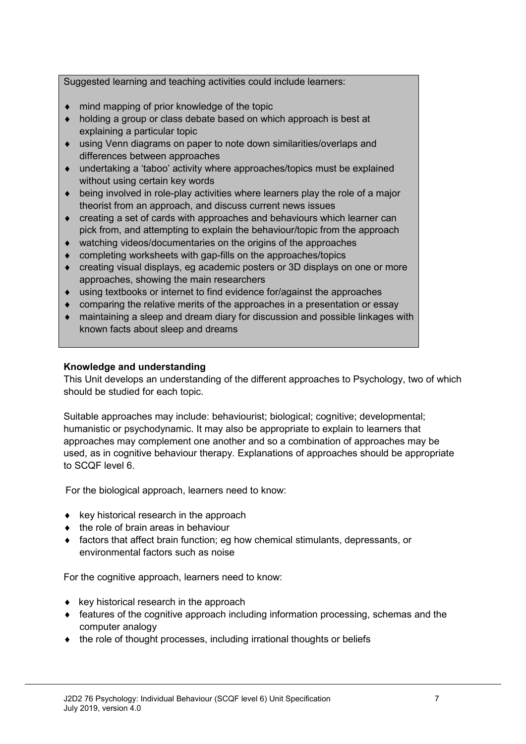Suggested learning and teaching activities could include learners:

- ♦ mind mapping of prior knowledge of the topic
- ♦ holding a group or class debate based on which approach is best at explaining a particular topic
- ♦ using Venn diagrams on paper to note down similarities/overlaps and differences between approaches
- ♦ undertaking a 'taboo' activity where approaches/topics must be explained without using certain key words
- $\bullet$  being involved in role-play activities where learners play the role of a major theorist from an approach, and discuss current news issues
- ♦ creating a set of cards with approaches and behaviours which learner can pick from, and attempting to explain the behaviour/topic from the approach
- ♦ watching videos/documentaries on the origins of the approaches
- ♦ completing worksheets with gap-fills on the approaches/topics
- ♦ creating visual displays, eg academic posters or 3D displays on one or more approaches, showing the main researchers
- ♦ using textbooks or internet to find evidence for/against the approaches
- ♦ comparing the relative merits of the approaches in a presentation or essay
- ♦ maintaining a sleep and dream diary for discussion and possible linkages with known facts about sleep and dreams

#### **Knowledge and understanding**

This Unit develops an understanding of the different approaches to Psychology, two of which should be studied for each topic.

Suitable approaches may include: behaviourist; biological; cognitive; developmental; humanistic or psychodynamic. It may also be appropriate to explain to learners that approaches may complement one another and so a combination of approaches may be used, as in cognitive behaviour therapy. Explanations of approaches should be appropriate to SCQF level 6.

For the biological approach, learners need to know:

- $\bullet$  key historical research in the approach
- ♦ the role of brain areas in behaviour
- ♦ factors that affect brain function; eg how chemical stimulants, depressants, or environmental factors such as noise

For the cognitive approach, learners need to know:

- $\bullet$  key historical research in the approach
- ♦ features of the cognitive approach including information processing, schemas and the computer analogy
- ♦ the role of thought processes, including irrational thoughts or beliefs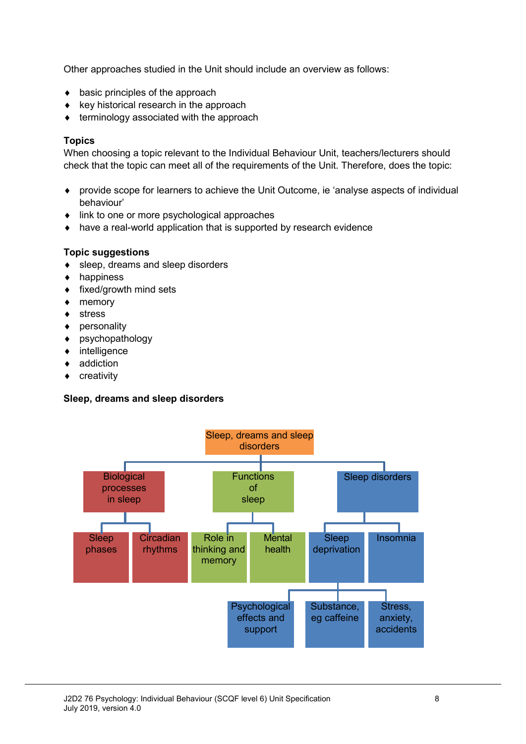Other approaches studied in the Unit should include an overview as follows:

- $\bullet$  basic principles of the approach
- ♦ key historical research in the approach
- terminology associated with the approach

#### **Topics**

When choosing a topic relevant to the Individual Behaviour Unit, teachers/lecturers should check that the topic can meet all of the requirements of the Unit. Therefore, does the topic:

- ♦ provide scope for learners to achieve the Unit Outcome, ie 'analyse aspects of individual behaviour'
- ♦ link to one or more psychological approaches
- ♦ have a real-world application that is supported by research evidence

#### **Topic suggestions**

- ♦ sleep, dreams and sleep disorders
- ♦ happiness
- ♦ fixed/growth mind sets
- ♦ memory
- ♦ stress
- ♦ personality
- ♦ psychopathology
- ♦ intelligence
- ◆ addiction
- ♦ creativity

#### **Sleep, dreams and sleep disorders**

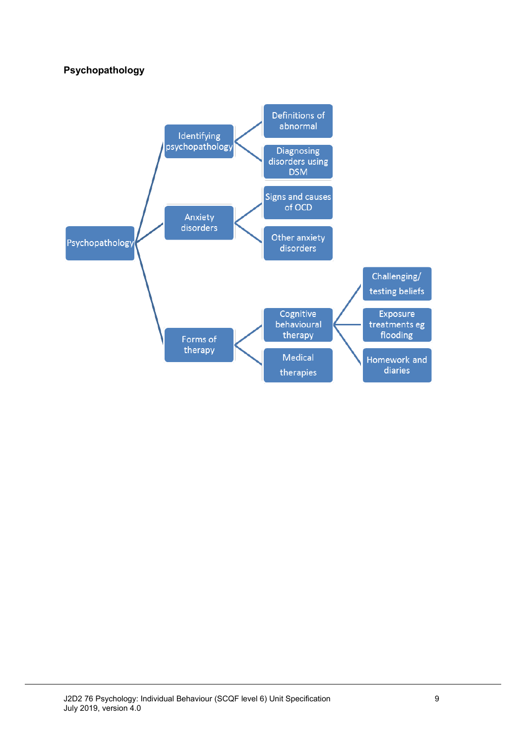### **Psychopathology**

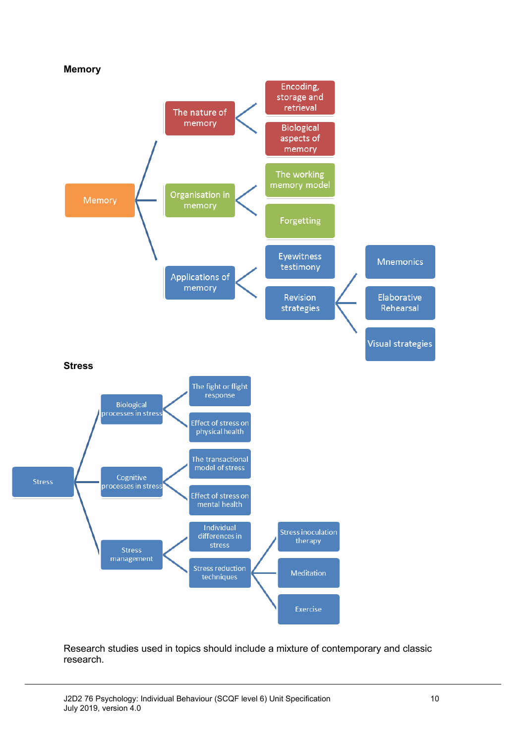

Research studies used in topics should include a mixture of contemporary and classic research.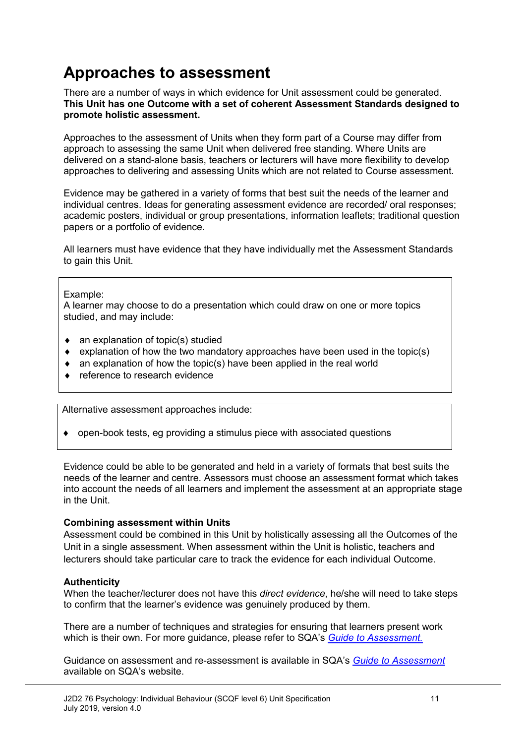## **Approaches to assessment**

There are a number of ways in which evidence for Unit assessment could be generated. **This Unit has one Outcome with a set of coherent Assessment Standards designed to promote holistic assessment.**

Approaches to the assessment of Units when they form part of a Course may differ from approach to assessing the same Unit when delivered free standing. Where Units are delivered on a stand-alone basis, teachers or lecturers will have more flexibility to develop approaches to delivering and assessing Units which are not related to Course assessment.

Evidence may be gathered in a variety of forms that best suit the needs of the learner and individual centres. Ideas for generating assessment evidence are recorded/ oral responses; academic posters, individual or group presentations, information leaflets; traditional question papers or a portfolio of evidence.

All learners must have evidence that they have individually met the Assessment Standards to gain this Unit.

#### Example:

A learner may choose to do a presentation which could draw on one or more topics studied, and may include:

- $\bullet$  an explanation of topic(s) studied
- $\bullet$  explanation of how the two mandatory approaches have been used in the topic(s)
- ♦ an explanation of how the topic(s) have been applied in the real world
- ♦ reference to research evidence

Alternative assessment approaches include:

♦ open-book tests, eg providing a stimulus piece with associated questions

Evidence could be able to be generated and held in a variety of formats that best suits the needs of the learner and centre. Assessors must choose an assessment format which takes into account the needs of all learners and implement the assessment at an appropriate stage in the Unit.

#### **Combining assessment within Units**

Assessment could be combined in this Unit by holistically assessing all the Outcomes of the Unit in a single assessment. When assessment within the Unit is holistic, teachers and lecturers should take particular care to track the evidence for each individual Outcome.

#### **Authenticity**

When the teacher/lecturer does not have this *direct evidence*, he/she will need to take steps to confirm that the learner's evidence was genuinely produced by them.

There are a number of techniques and strategies for ensuring that learners present work which is their own. For more guidance, please refer to SQA's *[Guide to Assessment.](http://www.sqa.org.uk/sqa/files_ccc/25GuideToAssessment.pdf)*

Guidance on assessment and re-assessment is available in SQA's *[Guide to Assessment](http://www.sqa.org.uk/sqa/files_ccc/25GuideToAssessment.pdf)*  available on SQA's website.